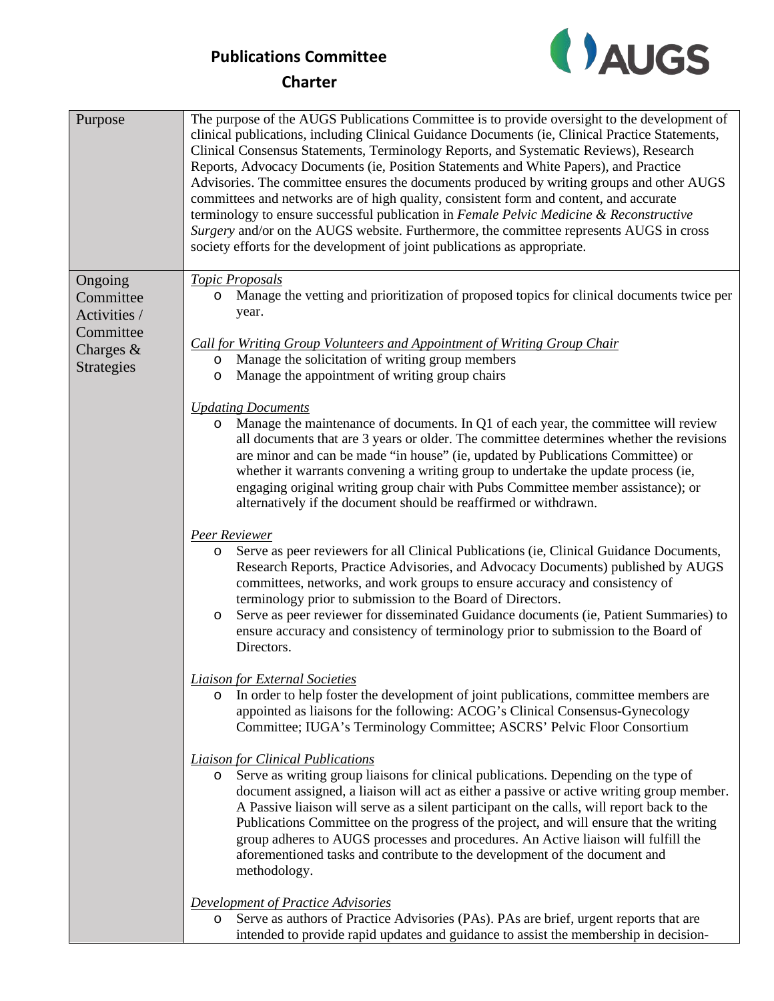

# **Charter**

| Purpose                                                                             | The purpose of the AUGS Publications Committee is to provide oversight to the development of<br>clinical publications, including Clinical Guidance Documents (ie, Clinical Practice Statements,<br>Clinical Consensus Statements, Terminology Reports, and Systematic Reviews), Research<br>Reports, Advocacy Documents (ie, Position Statements and White Papers), and Practice<br>Advisories. The committee ensures the documents produced by writing groups and other AUGS<br>committees and networks are of high quality, consistent form and content, and accurate<br>terminology to ensure successful publication in Female Pelvic Medicine & Reconstructive<br>Surgery and/or on the AUGS website. Furthermore, the committee represents AUGS in cross<br>society efforts for the development of joint publications as appropriate. |
|-------------------------------------------------------------------------------------|--------------------------------------------------------------------------------------------------------------------------------------------------------------------------------------------------------------------------------------------------------------------------------------------------------------------------------------------------------------------------------------------------------------------------------------------------------------------------------------------------------------------------------------------------------------------------------------------------------------------------------------------------------------------------------------------------------------------------------------------------------------------------------------------------------------------------------------------|
| Ongoing<br>Committee<br>Activities /<br>Committee<br>Charges &<br><b>Strategies</b> | <b>Topic Proposals</b><br>Manage the vetting and prioritization of proposed topics for clinical documents twice per<br>O<br>year.                                                                                                                                                                                                                                                                                                                                                                                                                                                                                                                                                                                                                                                                                                          |
|                                                                                     | <b>Call for Writing Group Volunteers and Appointment of Writing Group Chair</b><br>Manage the solicitation of writing group members<br>$\circ$<br>Manage the appointment of writing group chairs<br>$\circ$                                                                                                                                                                                                                                                                                                                                                                                                                                                                                                                                                                                                                                |
|                                                                                     | <b>Updating Documents</b><br>Manage the maintenance of documents. In Q1 of each year, the committee will review<br>O<br>all documents that are 3 years or older. The committee determines whether the revisions<br>are minor and can be made "in house" (ie, updated by Publications Committee) or<br>whether it warrants convening a writing group to undertake the update process (ie,<br>engaging original writing group chair with Pubs Committee member assistance); or<br>alternatively if the document should be reaffirmed or withdrawn.                                                                                                                                                                                                                                                                                           |
|                                                                                     | Peer Reviewer<br>Serve as peer reviewers for all Clinical Publications (ie, Clinical Guidance Documents,<br>O<br>Research Reports, Practice Advisories, and Advocacy Documents) published by AUGS<br>committees, networks, and work groups to ensure accuracy and consistency of<br>terminology prior to submission to the Board of Directors.<br>Serve as peer reviewer for disseminated Guidance documents (ie, Patient Summaries) to<br>$\circ$<br>ensure accuracy and consistency of terminology prior to submission to the Board of<br>Directors.                                                                                                                                                                                                                                                                                     |
|                                                                                     | <b>Liaison for External Societies</b><br>In order to help foster the development of joint publications, committee members are<br>$\circ$<br>appointed as liaisons for the following: ACOG's Clinical Consensus-Gynecology<br>Committee; IUGA's Terminology Committee; ASCRS' Pelvic Floor Consortium                                                                                                                                                                                                                                                                                                                                                                                                                                                                                                                                       |
|                                                                                     | <b>Liaison for Clinical Publications</b><br>Serve as writing group liaisons for clinical publications. Depending on the type of<br>$\circ$<br>document assigned, a liaison will act as either a passive or active writing group member.<br>A Passive liaison will serve as a silent participant on the calls, will report back to the<br>Publications Committee on the progress of the project, and will ensure that the writing<br>group adheres to AUGS processes and procedures. An Active liaison will fulfill the<br>aforementioned tasks and contribute to the development of the document and<br>methodology.                                                                                                                                                                                                                       |
|                                                                                     | <b>Development of Practice Advisories</b><br>Serve as authors of Practice Advisories (PAs). PAs are brief, urgent reports that are<br>O<br>intended to provide rapid updates and guidance to assist the membership in decision-                                                                                                                                                                                                                                                                                                                                                                                                                                                                                                                                                                                                            |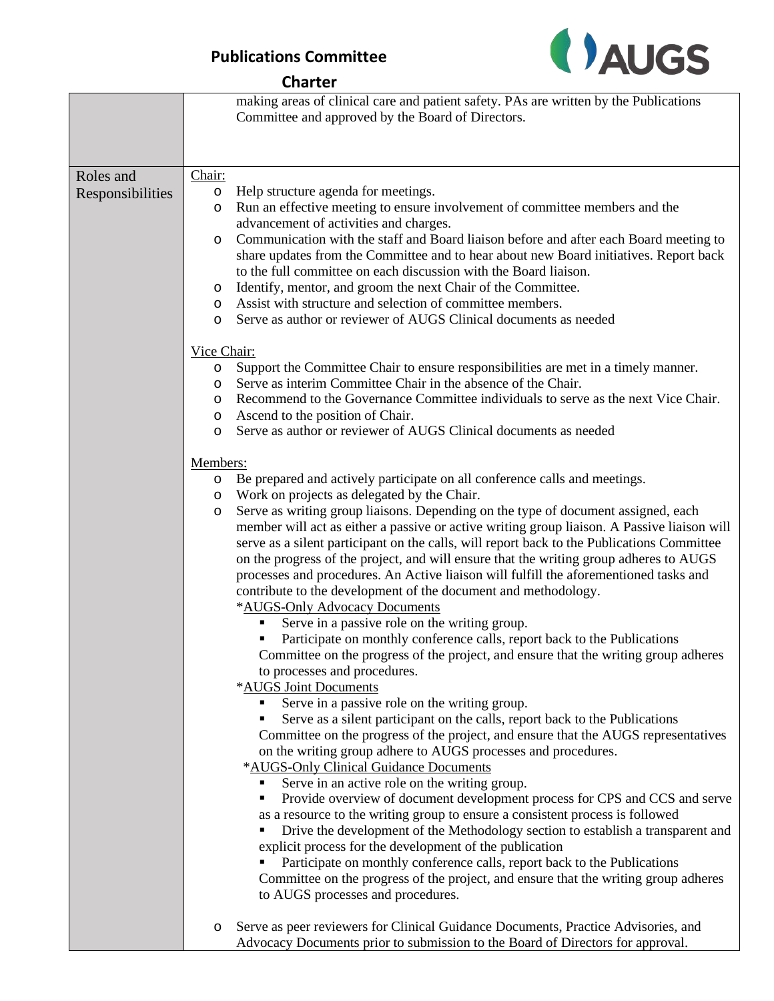

#### **Charter**

|                  | making areas of clinical care and patient safety. PAs are written by the Publications<br>Committee and approved by the Board of Directors.                                                                                                                    |
|------------------|---------------------------------------------------------------------------------------------------------------------------------------------------------------------------------------------------------------------------------------------------------------|
|                  |                                                                                                                                                                                                                                                               |
| Roles and        | Chair:                                                                                                                                                                                                                                                        |
| Responsibilities | Help structure agenda for meetings.<br>$\circ$                                                                                                                                                                                                                |
|                  | Run an effective meeting to ensure involvement of committee members and the<br>O                                                                                                                                                                              |
|                  | advancement of activities and charges.                                                                                                                                                                                                                        |
|                  | Communication with the staff and Board liaison before and after each Board meeting to<br>$\circ$<br>share updates from the Committee and to hear about new Board initiatives. Report back<br>to the full committee on each discussion with the Board liaison. |
|                  | Identify, mentor, and groom the next Chair of the Committee.<br>O                                                                                                                                                                                             |
|                  | Assist with structure and selection of committee members.<br>O                                                                                                                                                                                                |
|                  | Serve as author or reviewer of AUGS Clinical documents as needed<br>O                                                                                                                                                                                         |
|                  | Vice Chair:                                                                                                                                                                                                                                                   |
|                  | Support the Committee Chair to ensure responsibilities are met in a timely manner.<br>$\circ$                                                                                                                                                                 |
|                  | Serve as interim Committee Chair in the absence of the Chair.<br>$\circ$                                                                                                                                                                                      |
|                  | Recommend to the Governance Committee individuals to serve as the next Vice Chair.<br>$\circ$                                                                                                                                                                 |
|                  | Ascend to the position of Chair.<br>$\circ$                                                                                                                                                                                                                   |
|                  | Serve as author or reviewer of AUGS Clinical documents as needed<br>$\circ$                                                                                                                                                                                   |
|                  | Members:                                                                                                                                                                                                                                                      |
|                  | Be prepared and actively participate on all conference calls and meetings.<br>$\circ$                                                                                                                                                                         |
|                  | Work on projects as delegated by the Chair.<br>O                                                                                                                                                                                                              |
|                  | Serve as writing group liaisons. Depending on the type of document assigned, each<br>$\circ$                                                                                                                                                                  |
|                  | member will act as either a passive or active writing group liaison. A Passive liaison will                                                                                                                                                                   |
|                  | serve as a silent participant on the calls, will report back to the Publications Committee                                                                                                                                                                    |
|                  | on the progress of the project, and will ensure that the writing group adheres to AUGS                                                                                                                                                                        |
|                  | processes and procedures. An Active liaison will fulfill the aforementioned tasks and<br>contribute to the development of the document and methodology.                                                                                                       |
|                  | *AUGS-Only Advocacy Documents                                                                                                                                                                                                                                 |
|                  | Serve in a passive role on the writing group.                                                                                                                                                                                                                 |
|                  | Participate on monthly conference calls, report back to the Publications                                                                                                                                                                                      |
|                  | Committee on the progress of the project, and ensure that the writing group adheres                                                                                                                                                                           |
|                  | to processes and procedures.                                                                                                                                                                                                                                  |
|                  | *AUGS Joint Documents                                                                                                                                                                                                                                         |
|                  | Serve in a passive role on the writing group.                                                                                                                                                                                                                 |
|                  | Serve as a silent participant on the calls, report back to the Publications                                                                                                                                                                                   |
|                  | Committee on the progress of the project, and ensure that the AUGS representatives                                                                                                                                                                            |
|                  | on the writing group adhere to AUGS processes and procedures.                                                                                                                                                                                                 |
|                  | *AUGS-Only Clinical Guidance Documents                                                                                                                                                                                                                        |
|                  | Serve in an active role on the writing group.<br>Provide overview of document development process for CPS and CCS and serve<br>Ξ                                                                                                                              |
|                  | as a resource to the writing group to ensure a consistent process is followed                                                                                                                                                                                 |
|                  | Drive the development of the Methodology section to establish a transparent and<br>г                                                                                                                                                                          |
|                  | explicit process for the development of the publication                                                                                                                                                                                                       |
|                  | Participate on monthly conference calls, report back to the Publications                                                                                                                                                                                      |
|                  | Committee on the progress of the project, and ensure that the writing group adheres                                                                                                                                                                           |
|                  | to AUGS processes and procedures.                                                                                                                                                                                                                             |
|                  | Serve as peer reviewers for Clinical Guidance Documents, Practice Advisories, and<br>O                                                                                                                                                                        |
|                  | Advocacy Documents prior to submission to the Board of Directors for approval.                                                                                                                                                                                |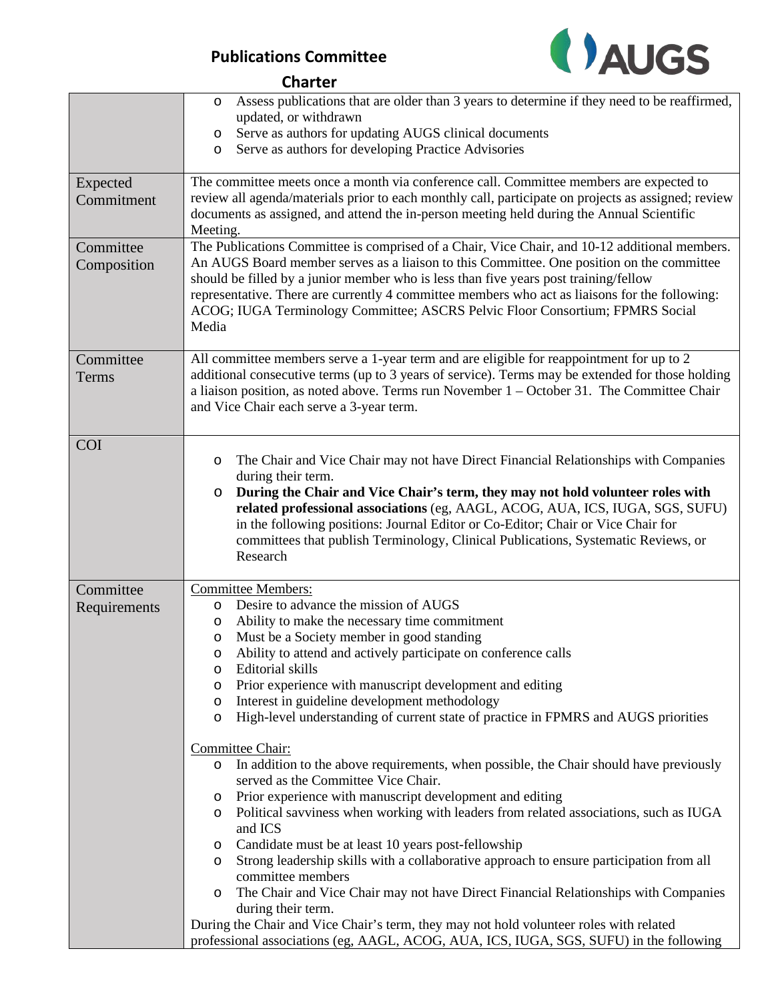

|                          | Assess publications that are older than 3 years to determine if they need to be reaffirmed,<br>O<br>updated, or withdrawn<br>Serve as authors for updating AUGS clinical documents<br>O<br>Serve as authors for developing Practice Advisories<br>O                                                                                                                                                                                                                                |
|--------------------------|------------------------------------------------------------------------------------------------------------------------------------------------------------------------------------------------------------------------------------------------------------------------------------------------------------------------------------------------------------------------------------------------------------------------------------------------------------------------------------|
| Expected<br>Commitment   | The committee meets once a month via conference call. Committee members are expected to<br>review all agenda/materials prior to each monthly call, participate on projects as assigned; review<br>documents as assigned, and attend the in-person meeting held during the Annual Scientific<br>Meeting.                                                                                                                                                                            |
| Committee<br>Composition | The Publications Committee is comprised of a Chair, Vice Chair, and 10-12 additional members.<br>An AUGS Board member serves as a liaison to this Committee. One position on the committee<br>should be filled by a junior member who is less than five years post training/fellow<br>representative. There are currently 4 committee members who act as liaisons for the following:<br>ACOG; IUGA Terminology Committee; ASCRS Pelvic Floor Consortium; FPMRS Social<br>Media     |
| Committee<br>Terms       | All committee members serve a 1-year term and are eligible for reappointment for up to 2<br>additional consecutive terms (up to 3 years of service). Terms may be extended for those holding<br>a liaison position, as noted above. Terms run November $1 -$ October 31. The Committee Chair<br>and Vice Chair each serve a 3-year term.                                                                                                                                           |
| <b>COI</b>               | The Chair and Vice Chair may not have Direct Financial Relationships with Companies<br>O<br>during their term.<br>During the Chair and Vice Chair's term, they may not hold volunteer roles with<br>$\circ$<br>related professional associations (eg, AAGL, ACOG, AUA, ICS, IUGA, SGS, SUFU)<br>in the following positions: Journal Editor or Co-Editor; Chair or Vice Chair for<br>committees that publish Terminology, Clinical Publications, Systematic Reviews, or<br>Research |
| Committee                | <b>Committee Members:</b><br>Desire to advance the mission of AUGS                                                                                                                                                                                                                                                                                                                                                                                                                 |
| Requirements             | $\circ$<br>Ability to make the necessary time commitment<br>O<br>Must be a Society member in good standing<br>O<br>Ability to attend and actively participate on conference calls<br>O<br>Editorial skills<br>O<br>Prior experience with manuscript development and editing<br>O<br>Interest in guideline development methodology<br>$\circ$<br>High-level understanding of current state of practice in FPMRS and AUGS priorities<br>$\circ$                                      |
|                          | Committee Chair:<br>In addition to the above requirements, when possible, the Chair should have previously<br>$\circ$                                                                                                                                                                                                                                                                                                                                                              |
|                          | served as the Committee Vice Chair.<br>Prior experience with manuscript development and editing<br>$\circ$<br>Political savviness when working with leaders from related associations, such as IUGA<br>$\circ$<br>and ICS                                                                                                                                                                                                                                                          |
|                          | Candidate must be at least 10 years post-fellowship<br>$\circ$<br>Strong leadership skills with a collaborative approach to ensure participation from all<br>$\circ$                                                                                                                                                                                                                                                                                                               |
|                          | committee members<br>The Chair and Vice Chair may not have Direct Financial Relationships with Companies<br>O                                                                                                                                                                                                                                                                                                                                                                      |
|                          | during their term.<br>During the Chair and Vice Chair's term, they may not hold volunteer roles with related<br>professional associations (eg, AAGL, ACOG, AUA, ICS, IUGA, SGS, SUFU) in the following                                                                                                                                                                                                                                                                             |